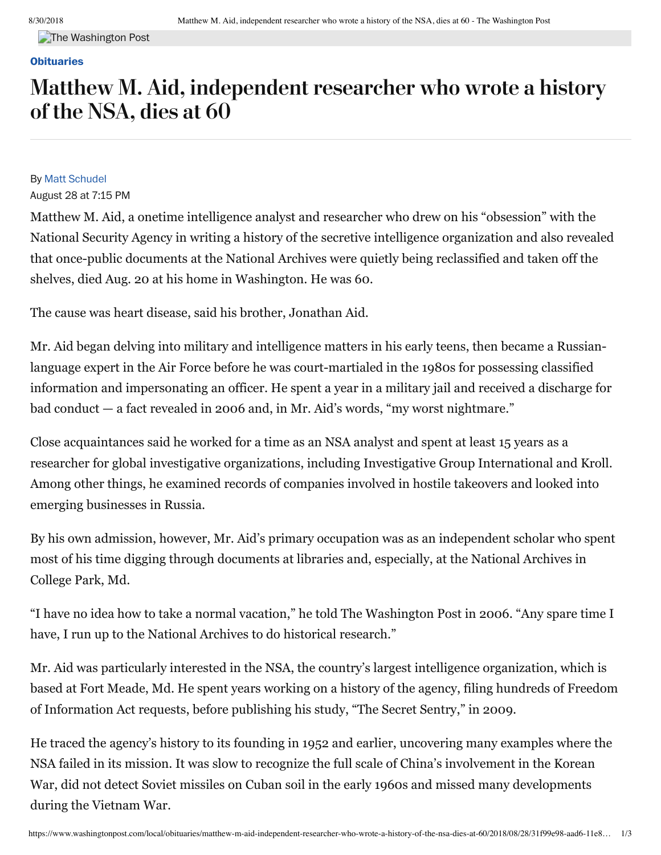#### **[Obituaries](http://www.washingtonpost.com/local/obituaries)**

## Matthew M. Aid, independent researcher who wrote a history of the NSA, dies at 60

#### By Matt [Schudel](https://www.washingtonpost.com/people/matt-schudel/) August 28 at 7:15 PM

Matthew M. Aid, a onetime intelligence analyst and researcher who drew on his "obsession" with the National Security Agency in writing a history of the secretive intelligence organization and also revealed that once-public documents at the National Archives were quietly being reclassified and taken off the shelves, died Aug. 20 at his home in Washington. He was 60.

The cause was heart disease, said his brother, Jonathan Aid.

Mr. Aid began delving into military and intelligence matters in his early teens, then became a Russianlanguage expert in the Air Force before he was court-martialed in the 1980s for possessing classified information and impersonating an officer. He spent a year in a military jail and received a discharge for bad conduct — a fact revealed in 2006 and, in Mr. Aid's words, "my worst nightmare."

Close acquaintances said he worked for a time as an NSA analyst and spent at least 15 years as a researcher for global investigative organizations, including Investigative Group International and Kroll. Among other things, he examined records of companies involved in hostile takeovers and looked into emerging businesses in Russia.

By his own admission, however, Mr. Aid's primary occupation was as an independent scholar who spent most of his time digging through documents at libraries and, especially, at the National Archives in College Park, Md.

"I have no idea how to take a normal vacation," he told The Washington Post in 2006. "Any spare time I have, I run up to the National Archives to do historical research."

Mr. Aid was particularly interested in the NSA, the country's largest intelligence organization, which is based at Fort Meade, Md. He spent years working on a history of the agency, filing hundreds of Freedom of Information Act requests, before publishing his study, "The Secret Sentry," in 2009.

He traced the agency's history to its founding in 1952 and earlier, uncovering many examples where the NSA failed in its mission. It was slow to recognize the full scale of China's involvement in the Korean War, did not detect Soviet missiles on Cuban soil in the early 1960s and missed many developments during the Vietnam War.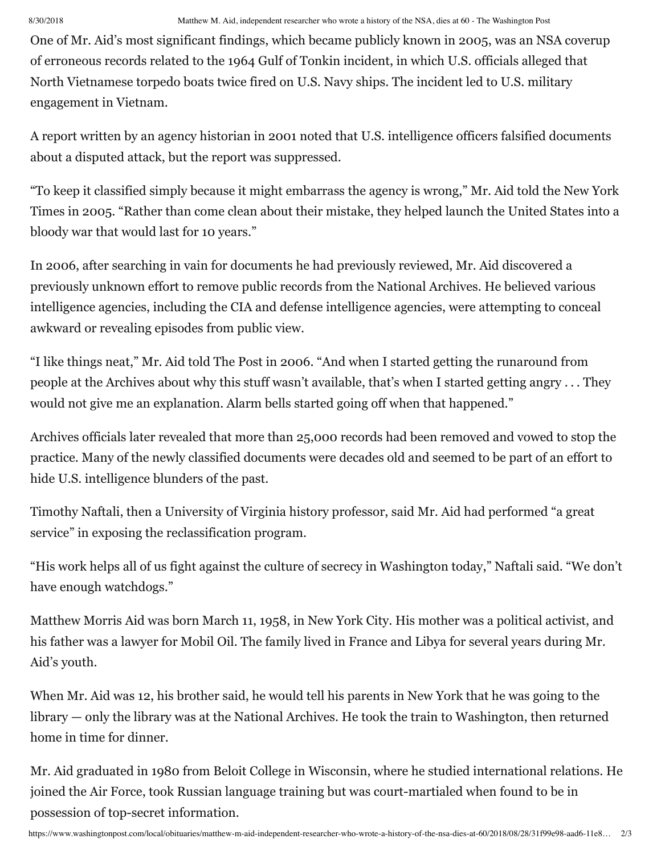One of Mr. Aid's most significant findings, which became publicly known in 2005, was an NSA coverup of erroneous records related to the 1964 Gulf of Tonkin incident, in which U.S. officials alleged that North Vietnamese torpedo boats twice fired on U.S. Navy ships. The incident led to U.S. military engagement in Vietnam.

A report written by an agency historian in 2001 noted that U.S. intelligence officers falsified documents about a disputed attack, but the report was suppressed.

"To keep it classified simply because it might embarrass the agency is wrong," Mr. Aid told the New York Times in 2005. "Rather than come clean about their mistake, they helped launch the United States into a bloody war that would last for 10 years."

In 2006, after searching in vain for documents he had previously reviewed, Mr. Aid discovered a previously unknown effort to remove public records from the National Archives. He believed various intelligence agencies, including the CIA and defense intelligence agencies, were attempting to conceal awkward or revealing episodes from public view.

"I like things neat," Mr. Aid told The Post in 2006. "And when I started getting the runaround from people at the Archives about why this stuff wasn't available, that's when I started getting angry . . . They would not give me an explanation. Alarm bells started going off when that happened."

Archives officials later revealed that more than 25,000 records had been removed and vowed to stop the practice. Many of the newly classified documents were decades old and seemed to be part of an effort to hide U.S. intelligence blunders of the past.

Timothy Naftali, then a University of Virginia history professor, said Mr. Aid had performed "a great service" in exposing the reclassification program.

"His work helps all of us fight against the culture of secrecy in Washington today," Naftali said. "We don't have enough watchdogs."

Matthew Morris Aid was born March 11, 1958, in New York City. His mother was a political activist, and his father was a lawyer for Mobil Oil. The family lived in France and Libya for several years during Mr. Aid's youth.

When Mr. Aid was 12, his brother said, he would tell his parents in New York that he was going to the library — only the library was at the National Archives. He took the train to Washington, then returned home in time for dinner.

Mr. Aid graduated in 1980 from Beloit College in Wisconsin, where he studied international relations. He joined the Air Force, took Russian language training but was court-martialed when found to be in possession of top-secret information.